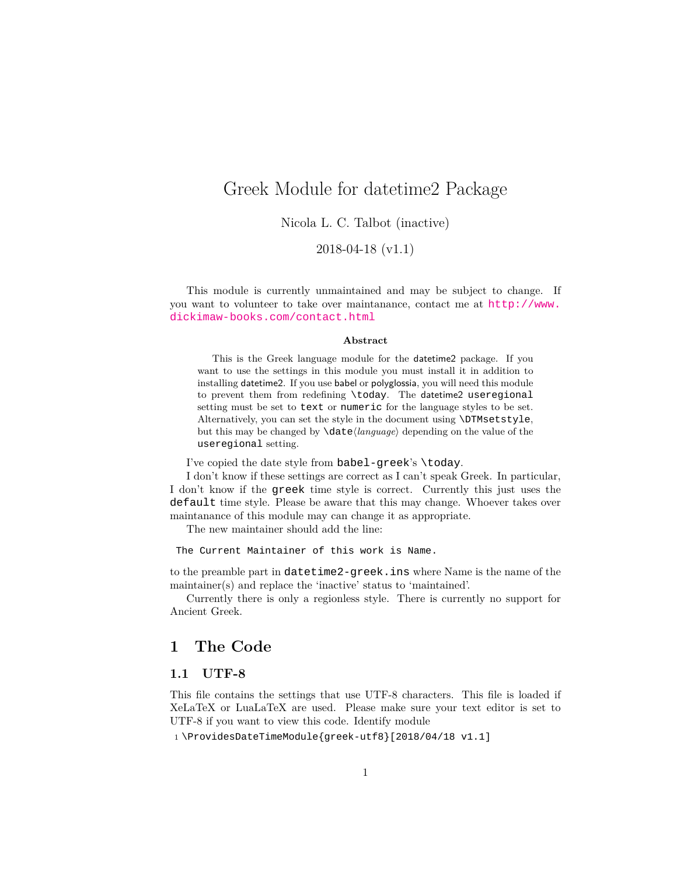## <span id="page-0-0"></span>Greek Module for datetime2 Package

Nicola L. C. Talbot (inactive)

2018-04-18 (v1.1)

This module is currently unmaintained and may be subject to change. If you want to volunteer to take over maintanance, contact me at [http://www.](http://www.dickimaw-books.com/contact.html) [dickimaw-books.com/contact.html](http://www.dickimaw-books.com/contact.html)

#### **Abstract**

This is the Greek language module for the datetime2 package. If you want to use the settings in this module you must install it in addition to installing datetime2. If you use babel or polyglossia, you will need this module to prevent them from redefining \today. The datetime2 useregional setting must be set to text or numeric for the language styles to be set. Alternatively, you can set the style in the document using \DTMsetstyle, but this may be changed by \date*⟨language⟩* depending on the value of the useregional setting.

I've copied the date style from babel-greek's \today.

I don't know if these settings are correct as I can't speak Greek. In particular, I don't know if the greek time style is correct. Currently this just uses the default time style. Please be aware that this may change. Whoever takes over maintanance of this module may can change it as appropriate.

The new maintainer should add the line:

The Current Maintainer of this work is Name.

to the preamble part in datetime2-greek.ins where Name is the name of the maintainer(s) and replace the 'inactive' status to 'maintained'.

Currently there is only a regionless style. There is currently no support for Ancient Greek.

### **1 The Code**

#### **1.1 UTF-8**

This file contains the settings that use UTF-8 characters. This file is loaded if XeLaTeX or LuaLaTeX are used. Please make sure your text editor is set to UTF-8 if you want to view this code. Identify module

1 \ProvidesDateTimeModule{greek-utf8}[2018/04/18 v1.1]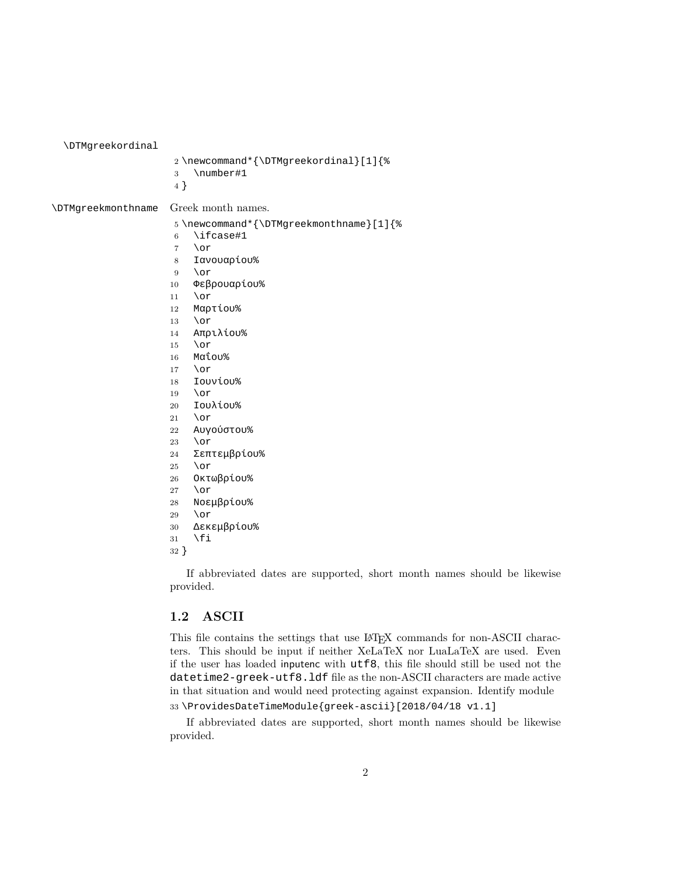<span id="page-1-0"></span>\DTMgreekordinal

| Inian cevol attiat        |                                                                                                                                                                                                                                                                                                                                                                                                                                                                                |
|---------------------------|--------------------------------------------------------------------------------------------------------------------------------------------------------------------------------------------------------------------------------------------------------------------------------------------------------------------------------------------------------------------------------------------------------------------------------------------------------------------------------|
|                           | 2\newcommand*{\DTMgreekordinal}[1]{%<br>\number#1<br>3<br>4 }                                                                                                                                                                                                                                                                                                                                                                                                                  |
| <b>\DTMgreekmonthname</b> | Greek month names.                                                                                                                                                                                                                                                                                                                                                                                                                                                             |
|                           | 5 \newcommand*{\DTMgreekmonthname}[1]{%<br>\ifcase#1<br>6<br>\or<br>$\overline{7}$<br>Ιανουαρίου%<br>8<br>\or<br>9<br>Φεβρουαρίου%<br>10<br>\or<br>11<br>Μαρτίου%<br>12<br>\or<br>13<br>Απριλίου%<br>14<br>\or<br>15<br>Μαΐου%<br>16<br>\or<br>17<br>Ιουνίου%<br>18<br>\or<br>19<br>Ιουλίου%<br>20<br>\or<br>21<br>Αυγούστου%<br>22<br>\or<br>23<br>Σεπτεμβρίου%<br>24<br>\or<br>25<br>Οκτωβρίου%<br>26<br>\or<br>27<br>Νοεμβρίου%<br>28<br>\or<br>29<br>Δεκεμβρίου%<br>$30\,$ |
|                           |                                                                                                                                                                                                                                                                                                                                                                                                                                                                                |

- 
- \fi
- }

If abbreviated dates are supported, short month names should be likewise provided.

#### **1.2 ASCII**

This file contains the settings that use LATEX commands for non-ASCII characters. This should be input if neither XeLaTeX nor LuaLaTeX are used. Even if the user has loaded inputenc with utf8, this file should still be used not the datetime2-greek-utf8.ldf file as the non-ASCII characters are made active in that situation and would need protecting against expansion. Identify module \ProvidesDateTimeModule{greek-ascii}[2018/04/18 v1.1]

If abbreviated dates are supported, short month names should be likewise provided.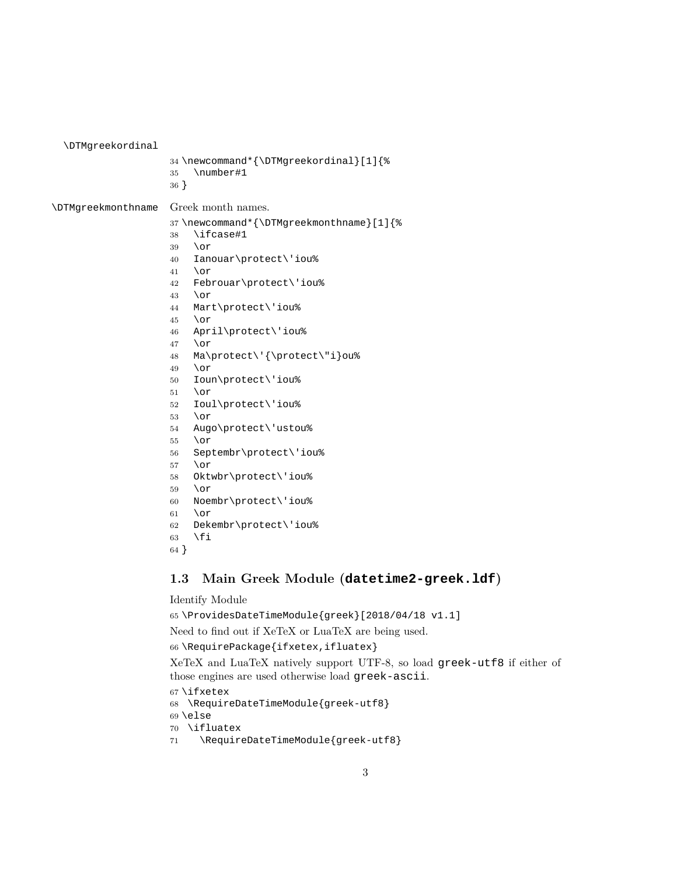<span id="page-2-0"></span>\DTMgreekordinal

```
34 \newcommand*{\DTMgreekordinal}[1]{%
                   35 \number#1
                   36 }
\DTMgreekmonthname Greek month names.
                   37 \newcommand*{\DTMgreekmonthname}[1]{%
                   38 \ifcase#1
                   39 \or
                   40 Ianouar\protect\'iou%
                   41 \or
                   42 Febrouar\protect\'iou%
                   43 \or
                   44 Mart\protect\'iou%
                   45 \or
                   46 April\protect\'iou%
                   47 \or
                   48 Ma\protect\'{\protect\"i}ou%
                   49 \or
                   50 Ioun\protect\'iou%
                   51 \or
                   52 Ioul\protect\'iou%
                   53 \or
                   54 Augo\protect\'ustou%
                   55 \or
                   56 Septembr\protect\'iou%
                   57 \or
                   58 Oktwbr\protect\'iou%
                   59 \or
                   60 Noembr\protect\'iou%
                   61 \or
                   62 Dekembr\protect\'iou%
                   63 \fi
                   64 }
```
### **1.3 Main Greek Module (datetime2-greek.ldf)**

#### Identify Module

\ProvidesDateTimeModule{greek}[2018/04/18 v1.1]

Need to find out if XeTeX or LuaTeX are being used.

```
66 \RequirePackage{ifxetex,ifluatex}
```
XeTeX and LuaTeX natively support UTF-8, so load greek-utf8 if either of those engines are used otherwise load greek-ascii.

```
67 \ifxetex
```
\RequireDateTimeModule{greek-utf8}

- \else
- \ifluatex
- 71 \RequireDateTimeModule{greek-utf8}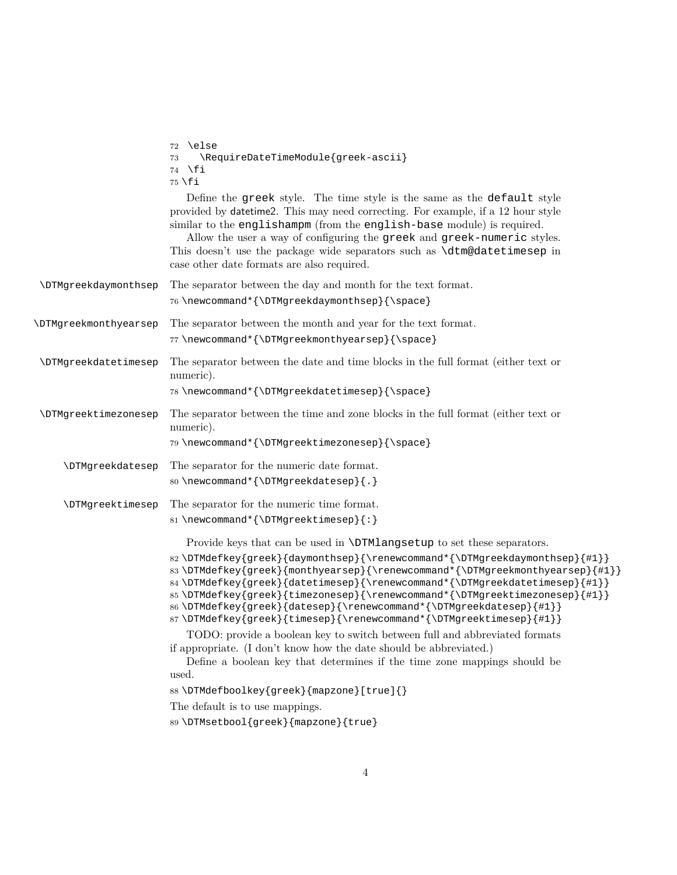<span id="page-3-0"></span>

|                              | 72 \else<br>\RequireDateTimeModule{greek-ascii}<br>73<br>∖fi<br>74<br>$75$ \fi                                                                                                                                                                                                                                                                                                                                                                                                                                                                                                                                                                                                                            |
|------------------------------|-----------------------------------------------------------------------------------------------------------------------------------------------------------------------------------------------------------------------------------------------------------------------------------------------------------------------------------------------------------------------------------------------------------------------------------------------------------------------------------------------------------------------------------------------------------------------------------------------------------------------------------------------------------------------------------------------------------|
|                              | Define the greek style. The time style is the same as the default style<br>provided by date time 2. This may need correcting. For example, if a 12 hour style<br>similar to the englishampm (from the english-base module) is required.<br>Allow the user a way of configuring the greek and greek-numeric styles.<br>This doesn't use the package wide separators such as <b>\dtm@datetimesep</b> in<br>case other date formats are also required.                                                                                                                                                                                                                                                       |
| <b>\DTMgreekdaymonthsep</b>  | The separator between the day and month for the text format.<br>76 \newcommand*{\DTMgreekdaymonthsep}{\space}                                                                                                                                                                                                                                                                                                                                                                                                                                                                                                                                                                                             |
| <b>\DTMgreekmonthyearsep</b> | The separator between the month and year for the text format.<br>77\newcommand*{\DTMgreekmonthyearsep}{\space}                                                                                                                                                                                                                                                                                                                                                                                                                                                                                                                                                                                            |
| <b>\DTMgreekdatetimesep</b>  | The separator between the date and time blocks in the full format (either text or<br>numeric).<br>78\newcommand*{\DTMgreekdatetimesep}{\space}                                                                                                                                                                                                                                                                                                                                                                                                                                                                                                                                                            |
| \DTMgreektimezonesep         | The separator between the time and zone blocks in the full format (either text or<br>numeric).<br>79 \newcommand*{\DTMgreektimezonesep}{\space}                                                                                                                                                                                                                                                                                                                                                                                                                                                                                                                                                           |
| <b>\DTMgreekdatesep</b>      | The separator for the numeric date format.<br>80 \newcommand*{\DTMgreekdatesep}{.}                                                                                                                                                                                                                                                                                                                                                                                                                                                                                                                                                                                                                        |
| <b>\DTMgreektimesep</b>      | The separator for the numeric time format.<br>81\newcommand*{\DTMgreektimesep}{:}                                                                                                                                                                                                                                                                                                                                                                                                                                                                                                                                                                                                                         |
|                              | Provide keys that can be used in <b>\DTMlangsetup</b> to set these separators.<br>82\DTMdefkey{greek}{daymonthsep}{\renewcommand*{\DTMgreekdaymonthsep}{#1}}<br>83\DTMdefkey{greek}{monthyearsep}{\renewcommand*{\DTMgreekmonthyearsep}{#1}}<br>84 \DTMdefkey{greek}{datetimesep}{\renewcommand*{\DTMgreekdatetimesep}{#1}}<br>85\DTMdefkey{greek}{timezonesep}{\renewcommand*{\DTMgreektimezonesep}{#1}}<br>86\DTMdefkey{greek}{datesep}{\renewcommand*{\DTMgreekdatesep}{#1}}<br>87\DTMdefkey{greek}{timesep}{\renewcommand*{\DTMgreektimesep}{#1}}<br>TODO: provide a boolean key to switch between full and abbreviated formats<br>if appropriate. (I don't know how the date should be abbreviated.) |
|                              | Define a boolean key that determines if the time zone mappings should be<br>used.<br>88\DTMdefboolkey{greek}{mapzone}[true]{}<br>The default is to use mappings.<br>89\DTMsetbool{greek}{mapzone}{true}                                                                                                                                                                                                                                                                                                                                                                                                                                                                                                   |
|                              |                                                                                                                                                                                                                                                                                                                                                                                                                                                                                                                                                                                                                                                                                                           |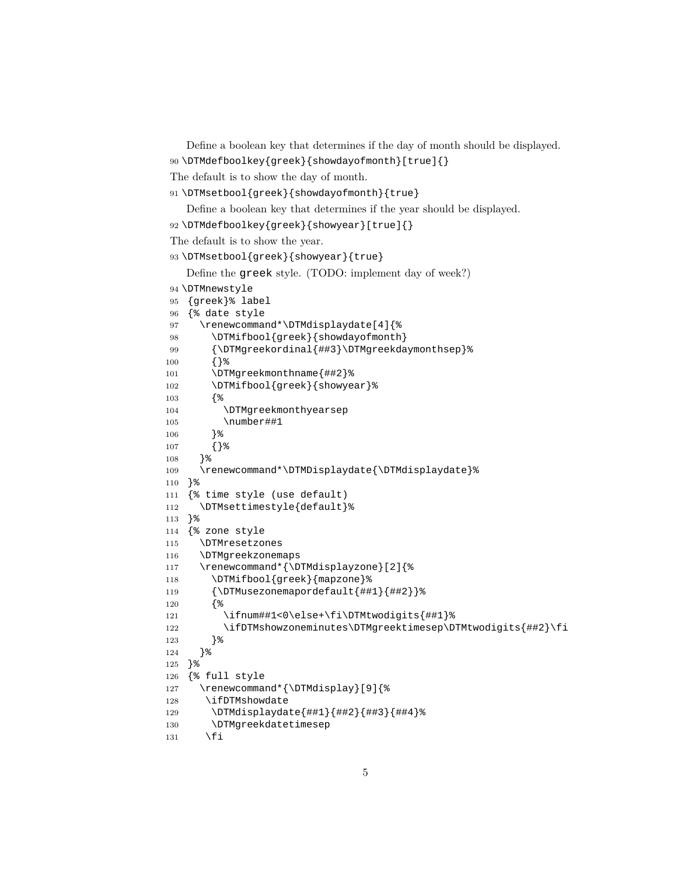```
Define a boolean key that determines if the day of month should be displayed.
90 \DTMdefboolkey{greek}{showdayofmonth}[true]{}
```
The default is to show the day of month.

```
91 \DTMsetbool{greek}{showdayofmonth}{true}
```
Define a boolean key that determines if the year should be displayed.

```
92 \DTMdefboolkey{greek}{showyear}[true]{}
```
The default is to show the year.

```
93 \DTMsetbool{greek}{showyear}{true}
```

```
Define the greek style. (TODO: implement day of week?)
```

```
94 \DTMnewstyle
```

```
95 {greek}% label
96 {% date style
97 \renewcommand*\DTMdisplaydate[4]{%
98 \DTMifbool{greek}{showdayofmonth}
99 {\DTMgreekordinal{##3}\DTMgreekdaymonthsep}%
100 {}%
101 \DTMgreekmonthname{##2}%
102 \DTMifbool{greek}{showyear}%
103 {%
104 \DTMgreekmonthyearsep
105 \number##1
106 }%
107 {}%
108 }%
109 \renewcommand*\DTMDisplaydate{\DTMdisplaydate}%
110 }%
111 {% time style (use default)
112 \DTMsettimestyle{default}%
113 }%
114 {% zone style
115 \DTMresetzones
116 \DTMgreekzonemaps
117 \renewcommand*{\DTMdisplayzone}[2]{%
118 \DTMifbool{greek}{mapzone}%
119 {\DTMusezonemapordefault{##1}{##2}}%
120 {%
121 \ifnum##1<0\else+\fi\DTMtwodigits{##1}%
122 \ifDTMshowzoneminutes\DTMgreektimesep\DTMtwodigits{##2}\fi
123 }%
124 }%
125 }%
126 {% full style
127 \renewcommand*{\DTMdisplay}[9]{%
128 \ifDTMshowdate
129 \DTMdisplaydate{##1}{##2}{##3}{##4}%
130 \DTMgreekdatetimesep
131 \qquad \text{If}
```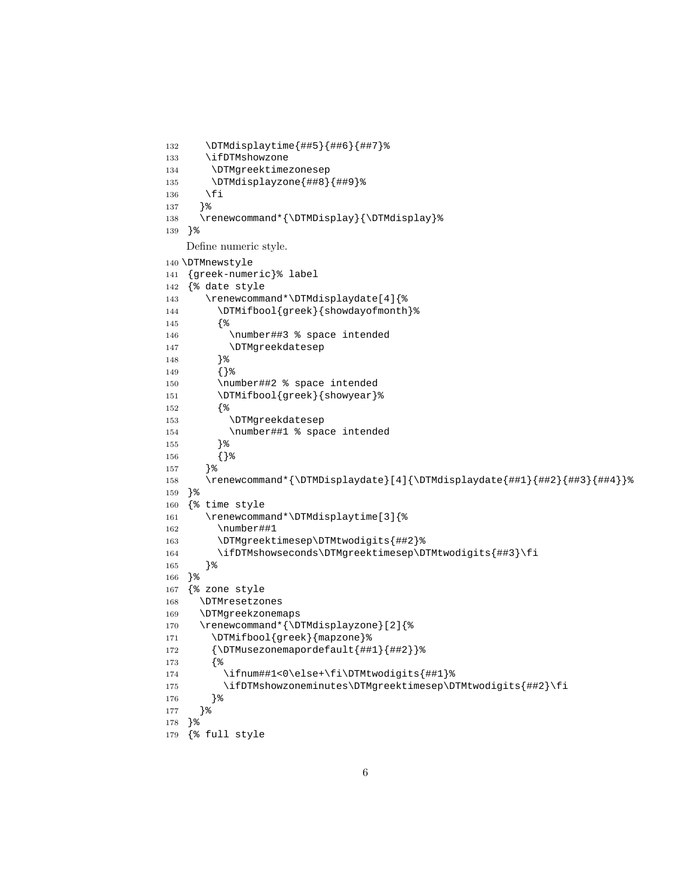```
132 \DTMdisplaytime{##5}{##6}{##7}%
133 \ifDTMshowzone
134 \DTMgreektimezonesep
135 \DTMdisplayzone{##8}{##9}%
136 \fi
137 }%
138 \renewcommand*{\DTMDisplay}{\DTMdisplay}%
139 }%
   Define numeric style.
140 \DTMnewstyle
141 {greek-numeric}% label
142 {% date style
143 \renewcommand*\DTMdisplaydate[4]{%
144 \DTMifbool{greek}{showdayofmonth}%
145 {%
146 \number##3 % space intended
147 \DTMgreekdatesep
148 }%
149 {}%
150 \number##2 % space intended
151 \DTMifbool{greek}{showyear}%
152 {%
153 \DTMgreekdatesep
154 \number##1 % space intended
155 }%
156 {}%
157 }%
158 \renewcommand*{\DTMDisplaydate}[4]{\DTMdisplaydate{##1}{##2}{##3}{##4}}%
159 }%
160 {% time style
161 \renewcommand*\DTMdisplaytime[3]{%
162 \number##1
163 \DTMgreektimesep\DTMtwodigits{##2}%
164 \ifDTMshowseconds\DTMgreektimesep\DTMtwodigits{##3}\fi
165 }%
166 }%
167 {% zone style
168 \DTMresetzones
169 \DTMgreekzonemaps
170 \renewcommand*{\DTMdisplayzone}[2]{%
171 \DTMifbool{greek}{mapzone}%
172 {\DTMusezonemapordefault{##1}{##2}}%
173 {%
174 \ifnum##1<0\else+\fi\DTMtwodigits{##1}%
175 \ifDTMshowzoneminutes\DTMgreektimesep\DTMtwodigits{##2}\fi
176 }%
177 }%
178 }%
179 {% full style
```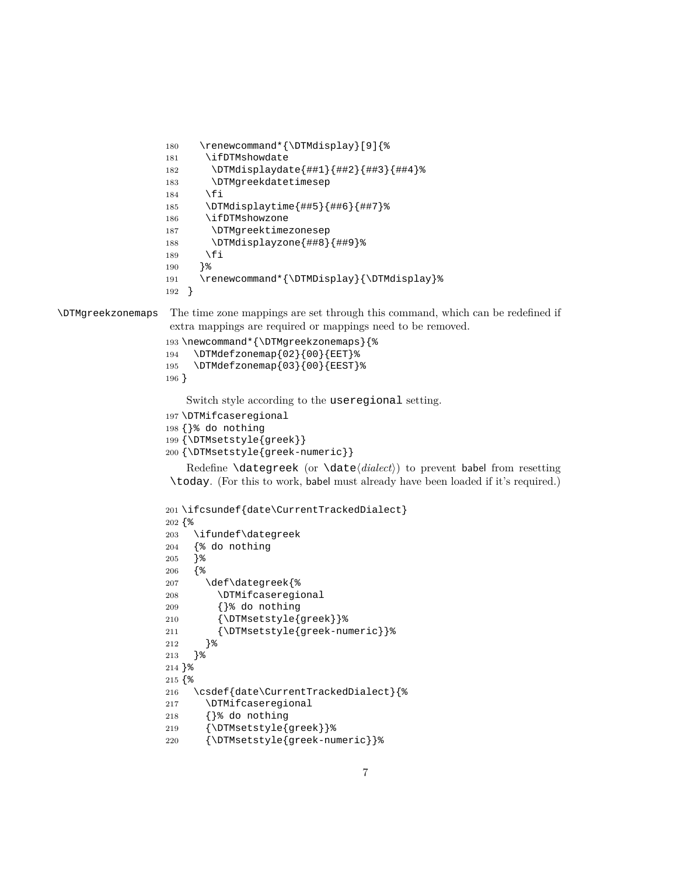```
180 \renewcommand*{\DTMdisplay}[9]{%
                  181 \ifDTMshowdate
                  182 \DTMdisplaydate{##1}{##2}{##3}{##4}%
                  183 \DTMgreekdatetimesep
                  184 \fi
                  185 \DTMdisplaytime{##5}{##6}{##7}%
                  186 \ifDTMshowzone
                  187 \DTMgreektimezonesep
                  188 \DTMdisplayzone{##8}{##9}%
                  189 \fi
                  190 }%
                  191 \renewcommand*{\DTMDisplay}{\DTMdisplay}%
                  192 }
\DTMgreekzonemaps The time zone mappings are set through this command, which can be redefined if
                   extra mappings are required or mappings need to be removed.
                  193 \newcommand*{\DTMgreekzonemaps}{%
                  194 \DTMdefzonemap{02}{00}{EET}%
                  195 \DTMdefzonemap{03}{00}{EEST}%
                  196 }
                     Switch style according to the useregional setting.
                  197 \DTMifcaseregional
                  198 {}% do nothing
                  199 {\DTMsetstyle{greek}}
                  200 {\DTMsetstyle{greek-numeric}}
                     Redefine \dategreek (or \date⟨dialect⟩) to prevent babel from resetting
                   \today. (For this to work, babel must already have been loaded if it's required.)
                  201 \ifcsundef{date\CurrentTrackedDialect}
                  202 {%
                  203 \ifundef\dategreek
                  204 {% do nothing
                  205 }%
                  206 {%
                  207 \def\dategreek{%
                  208 \DTMifcaseregional
                  209 {}% do nothing
                  210 {\DTMsetstyle{greek}}%
                  211 {\DTMsetstyle{greek-numeric}}%
                  212 }%
                  213 }%
                  214 }%
                  215 {%
                  216 \csdef{date\CurrentTrackedDialect}{%
                  217 \DTMifcaseregional
                  218 {}% do nothing
                  219 {\DTMsetstyle{greek}}%
```

```
220 {\DTMsetstyle{greek-numeric}}%
```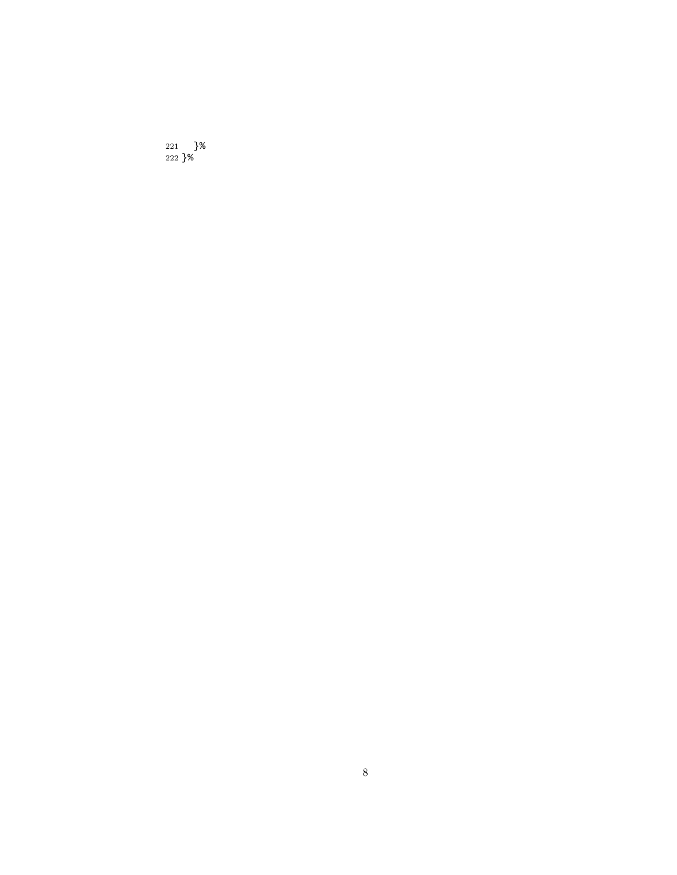}% }%